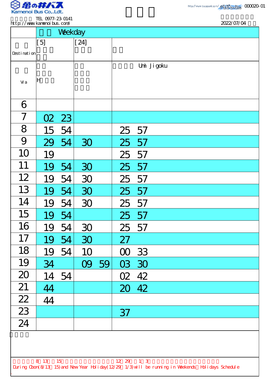

.

| http://www.kanenoi.bus.com/                                                                        |      |         |        |    |           | 2022/07/04  |  |  |
|----------------------------------------------------------------------------------------------------|------|---------|--------|----|-----------|-------------|--|--|
|                                                                                                    |      | Weekday |        |    |           |             |  |  |
|                                                                                                    | [5]  |         | $[24]$ |    |           |             |  |  |
| Desti nati on                                                                                      |      |         |        |    |           |             |  |  |
|                                                                                                    |      |         |        |    |           | Umi Ji goku |  |  |
|                                                                                                    |      |         |        |    |           |             |  |  |
| Vi a                                                                                               | lΗ   |         |        |    |           |             |  |  |
|                                                                                                    |      |         |        |    |           |             |  |  |
| 6                                                                                                  |      |         |        |    |           |             |  |  |
| 7                                                                                                  | O2   | 23      |        |    |           |             |  |  |
| 8                                                                                                  | 15   | 54      |        |    | 25 57     |             |  |  |
| 9                                                                                                  | 29   | 54      | 30     |    | 25 57     |             |  |  |
| 10                                                                                                 | 19   |         |        |    | 25        | 57          |  |  |
| 11                                                                                                 | 19   | 54      | 30     |    | 25 57     |             |  |  |
| 12                                                                                                 | 19   | 54      | 30     |    | 25        | 57          |  |  |
| 13                                                                                                 | 19   | 54      | 30     |    | 25 57     |             |  |  |
| 14                                                                                                 | 19   | 54      | 30     |    | 25 57     |             |  |  |
| 15                                                                                                 | 19   | 54      |        |    | 25 57     |             |  |  |
| 16                                                                                                 | 19   | 54      | 30     |    | 25 57     |             |  |  |
| 17                                                                                                 | 19   | 54      | 30     |    | 27        |             |  |  |
| 18                                                                                                 | 19   | 54      | 10     |    | $\infty$  | 33          |  |  |
| 19                                                                                                 | 34   |         | 09     | 59 | 03        | 30          |  |  |
| 20                                                                                                 | 14   | 54      |        |    | O2        | 42          |  |  |
| 21                                                                                                 | 44   |         |        |    |           | 20 42       |  |  |
| $\frac{22}{2}$                                                                                     | 44   |         |        |    |           |             |  |  |
| $\overline{23}$                                                                                    |      |         |        |    | 37        |             |  |  |
| 24                                                                                                 |      |         |        |    |           |             |  |  |
|                                                                                                    |      |         |        |    |           |             |  |  |
|                                                                                                    |      |         |        |    |           |             |  |  |
|                                                                                                    | 8 13 | 15      |        |    | 12 29 1 3 |             |  |  |
| During Cbon(8/13 15) and New Year Holiday(12/29 1/3) will be running in Weekends Holidays Schedule |      |         |        |    |           |             |  |  |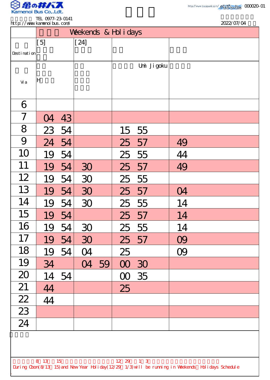

.

|                 | http://www.kanenoi.bus.com/ |       |        |    |           |             |    | 2022/07/04 |  |
|-----------------|-----------------------------|-------|--------|----|-----------|-------------|----|------------|--|
|                 | Weekends & Hol i days       |       |        |    |           |             |    |            |  |
|                 | [5]                         |       | $[24]$ |    |           |             |    |            |  |
| Desti nati on   |                             |       |        |    |           |             |    |            |  |
|                 |                             |       |        |    |           | Umi Ji goku |    |            |  |
| Vi a            | lН                          |       |        |    |           |             |    |            |  |
|                 |                             |       |        |    |           |             |    |            |  |
| 6               |                             |       |        |    |           |             |    |            |  |
| 7               | O <sub>4</sub>              | 43    |        |    |           |             |    |            |  |
| 8               |                             | 23 54 |        |    | 15 55     |             |    |            |  |
| 9               | 24                          | 54    |        |    | 25 57     |             | 49 |            |  |
| 10              | 19                          | 54    |        |    | 25        | 55          | 44 |            |  |
| 11              | 19                          | 54    | 30     |    | 25        | 57          | 49 |            |  |
| 12              | 19                          | 54    | 30     |    | 25        | 55          |    |            |  |
| 13              | 19                          | 54    | 30     |    | 25 57     |             | 04 |            |  |
| 14              | 19                          | 54    | 30     |    | 25 55     |             | 14 |            |  |
| 15              | 19                          | 54    |        |    | 25 57     |             | 14 |            |  |
| 16              | 19                          | 54    | 30     |    | 25 55     |             | 14 |            |  |
| 17              | 19                          | 54    | 30     |    | 25 57     |             | 09 |            |  |
| 18              | 19                          | 54    | 04     |    | 25        |             | 09 |            |  |
| 19              | 34                          |       | 04     | 59 | 00 30     |             |    |            |  |
| 20              | 14                          | 54    |        |    | $\infty$  | 35          |    |            |  |
| 21              | 44                          |       |        |    | 25        |             |    |            |  |
|                 | 44                          |       |        |    |           |             |    |            |  |
| $\frac{22}{23}$ |                             |       |        |    |           |             |    |            |  |
| $\overline{24}$ |                             |       |        |    |           |             |    |            |  |
|                 |                             |       |        |    |           |             |    |            |  |
|                 |                             |       |        |    |           |             |    |            |  |
|                 | 8 13 15                     |       |        |    | 12 29 1 3 |             |    |            |  |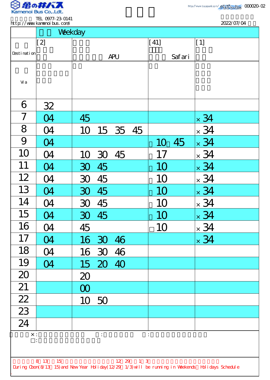

2022/07/04

|                                                                                                    | Weekday                               |                |                       |             |  |  |  |  |  |
|----------------------------------------------------------------------------------------------------|---------------------------------------|----------------|-----------------------|-------------|--|--|--|--|--|
|                                                                                                    | $[2]$                                 |                | [41]                  | [1]         |  |  |  |  |  |
| Desti nati on                                                                                      |                                       | <b>APU</b>     | Safari                |             |  |  |  |  |  |
|                                                                                                    |                                       |                |                       |             |  |  |  |  |  |
| Vi a                                                                                               |                                       |                |                       |             |  |  |  |  |  |
|                                                                                                    |                                       |                |                       |             |  |  |  |  |  |
| 6                                                                                                  | 32                                    |                |                       |             |  |  |  |  |  |
| $\overline{7}$                                                                                     | O4                                    | 45             |                       | $\times$ 34 |  |  |  |  |  |
| 8                                                                                                  | 04                                    | 10<br>15 35 45 |                       | $\times$ 34 |  |  |  |  |  |
| 9                                                                                                  | 04                                    |                | 45<br>10 <sup>1</sup> | $\times$ 34 |  |  |  |  |  |
| 10                                                                                                 | O <sub>4</sub>                        | 45<br>10 30    | 17                    | $\times$ 34 |  |  |  |  |  |
| 11                                                                                                 | <b>CA</b>                             | 45<br>30       | 10                    | $\times$ 34 |  |  |  |  |  |
| 12                                                                                                 | O4                                    | 45<br>30       | 1 <sub>O</sub>        | $\times$ 34 |  |  |  |  |  |
| 13                                                                                                 | $\boldsymbol{\mathcal{A}}$            | 45<br>30       | 10                    | $\times$ 34 |  |  |  |  |  |
| 14                                                                                                 | 04                                    | 30 45          | 10                    | $\times$ 34 |  |  |  |  |  |
| 15                                                                                                 | 04                                    | 30 45          | 10                    | $\times$ 34 |  |  |  |  |  |
| 16                                                                                                 | 04                                    | 45             | 10                    | $\times$ 34 |  |  |  |  |  |
| 17                                                                                                 | 04                                    | 16 30 46       |                       | $\times$ 34 |  |  |  |  |  |
| 18                                                                                                 | 04                                    | 16 30 46       |                       |             |  |  |  |  |  |
| 19                                                                                                 | 04                                    | 15 20 40       |                       |             |  |  |  |  |  |
| 20                                                                                                 |                                       | 20             |                       |             |  |  |  |  |  |
| 21                                                                                                 |                                       | $\infty$       |                       |             |  |  |  |  |  |
| $\overline{22}$                                                                                    |                                       | 10 50          |                       |             |  |  |  |  |  |
| $\overline{23}$                                                                                    |                                       |                |                       |             |  |  |  |  |  |
| $\overline{24}$                                                                                    |                                       |                |                       |             |  |  |  |  |  |
| $\times$ :<br>$\frac{1}{2}$ , $\frac{1}{2}$<br>$\ddot{\phantom{a}}$                                |                                       |                |                       |             |  |  |  |  |  |
|                                                                                                    |                                       |                |                       |             |  |  |  |  |  |
|                                                                                                    | 1 <sub>3</sub><br>8 13<br>15<br>12 29 |                |                       |             |  |  |  |  |  |
| During Cbon(8/13 15) and New Year Holiday(12/29 1/3) will be running in Weekends Holidays Schedule |                                       |                |                       |             |  |  |  |  |  |